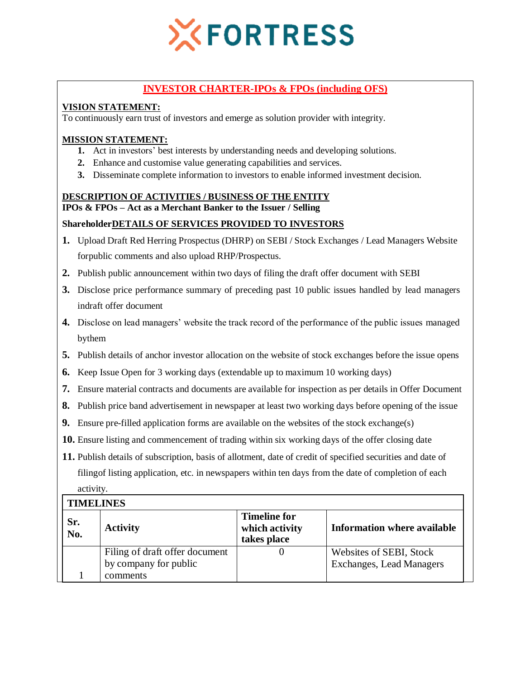

# **INVESTOR CHARTER-IPOs & FPOs (including OFS)**

# **VISION STATEMENT:**

To continuously earn trust of investors and emerge as solution provider with integrity.

## **MISSION STATEMENT:**

- **1.** Act in investors' best interests by understanding needs and developing solutions.
- **2.** Enhance and customise value generating capabilities and services.
- **3.** Disseminate complete information to investors to enable informed investment decision.

#### **DESCRIPTION OF ACTIVITIES / BUSINESS OF THE ENTITY**

**IPOs & FPOs – Act as a Merchant Banker to the Issuer / Selling** 

# **ShareholderDETAILS OF SERVICES PROVIDED TO INVESTORS**

- **1.** Upload Draft Red Herring Prospectus (DHRP) on SEBI / Stock Exchanges / Lead Managers Website forpublic comments and also upload RHP/Prospectus.
- **2.** Publish public announcement within two days of filing the draft offer document with SEBI
- **3.** Disclose price performance summary of preceding past 10 public issues handled by lead managers indraft offer document
- **4.** Disclose on lead managers' website the track record of the performance of the public issues managed bythem
- **5.** Publish details of anchor investor allocation on the website of stock exchanges before the issue opens
- **6.** Keep Issue Open for 3 working days (extendable up to maximum 10 working days)
- **7.** Ensure material contracts and documents are available for inspection as per details in Offer Document
- **8.** Publish price band advertisement in newspaper at least two working days before opening of the issue
- **9.** Ensure pre-filled application forms are available on the websites of the stock exchange(s)
- **10.** Ensure listing and commencement of trading within six working days of the offer closing date
- **11.** Publish details of subscription, basis of allotment, date of credit of specified securities and date of filingof listing application, etc. in newspapers within ten days from the date of completion of each activity.

## **TIMELINES**

| Sr.<br>No. | <b>Activity</b>                | <b>Timeline for</b><br>which activity<br>takes place | <b>Information where available</b> |
|------------|--------------------------------|------------------------------------------------------|------------------------------------|
|            | Filing of draft offer document |                                                      | Websites of SEBI, Stock            |
|            | by company for public          |                                                      | <b>Exchanges, Lead Managers</b>    |
|            | comments                       |                                                      |                                    |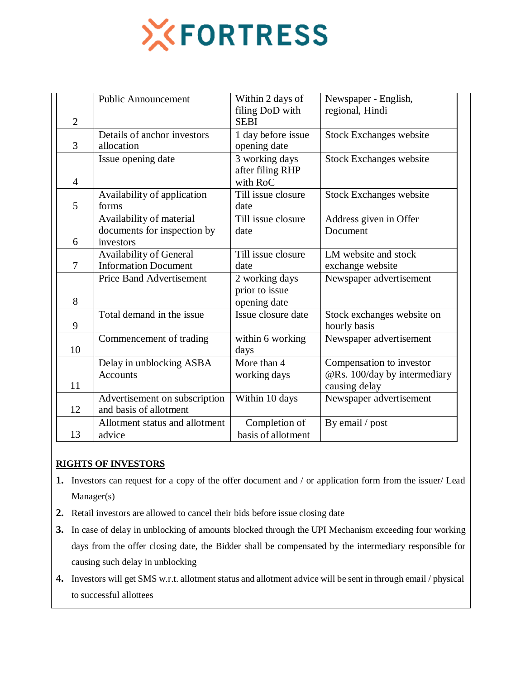

|                | <b>Public Announcement</b>                                           | Within 2 days of<br>filing DoD with              | Newspaper - English,<br>regional, Hindi                                   |
|----------------|----------------------------------------------------------------------|--------------------------------------------------|---------------------------------------------------------------------------|
| $\overline{2}$ |                                                                      | <b>SEBI</b>                                      |                                                                           |
| 3              | Details of anchor investors<br>allocation                            | 1 day before issue<br>opening date               | <b>Stock Exchanges website</b>                                            |
| $\overline{4}$ | Issue opening date                                                   | 3 working days<br>after filing RHP<br>with RoC   | <b>Stock Exchanges website</b>                                            |
| 5              | Availability of application<br>forms                                 | Till issue closure<br>date                       | <b>Stock Exchanges website</b>                                            |
| 6              | Availability of material<br>documents for inspection by<br>investors | Till issue closure<br>date                       | Address given in Offer<br>Document                                        |
| 7              | Availability of General<br><b>Information Document</b>               | Till issue closure<br>date                       | LM website and stock<br>exchange website                                  |
| 8              | <b>Price Band Advertisement</b>                                      | 2 working days<br>prior to issue<br>opening date | Newspaper advertisement                                                   |
| 9              | Total demand in the issue                                            | Issue closure date                               | Stock exchanges website on<br>hourly basis                                |
| 10             | Commencement of trading                                              | within 6 working<br>days                         | Newspaper advertisement                                                   |
| 11             | Delay in unblocking ASBA<br><b>Accounts</b>                          | More than 4<br>working days                      | Compensation to investor<br>@Rs. 100/day by intermediary<br>causing delay |
| 12             | Advertisement on subscription<br>and basis of allotment              | Within 10 days                                   | Newspaper advertisement                                                   |
| 13             | Allotment status and allotment<br>advice                             | Completion of<br>basis of allotment              | By email / post                                                           |

# **RIGHTS OF INVESTORS**

- **1.** Investors can request for a copy of the offer document and / or application form from the issuer/ Lead Manager(s)
- **2.** Retail investors are allowed to cancel their bids before issue closing date
- **3.** In case of delay in unblocking of amounts blocked through the UPI Mechanism exceeding four working days from the offer closing date, the Bidder shall be compensated by the intermediary responsible for causing such delay in unblocking
- **4.** Investors will get SMS w.r.t. allotment status and allotment advice will be sent in through email / physical to successful allottees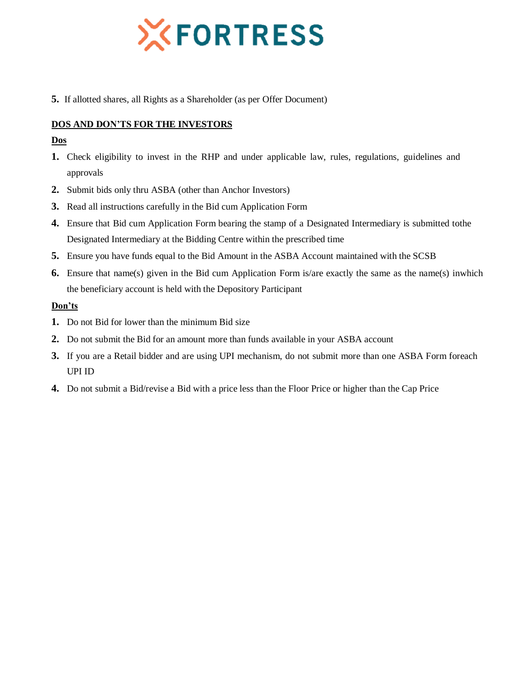

**5.** If allotted shares, all Rights as a Shareholder (as per Offer Document)

# **DOS AND DON'TS FOR THE INVESTORS**

## **Dos**

- **1.** Check eligibility to invest in the RHP and under applicable law, rules, regulations, guidelines and approvals
- **2.** Submit bids only thru ASBA (other than Anchor Investors)
- **3.** Read all instructions carefully in the Bid cum Application Form
- **4.** Ensure that Bid cum Application Form bearing the stamp of a Designated Intermediary is submitted tothe Designated Intermediary at the Bidding Centre within the prescribed time
- **5.** Ensure you have funds equal to the Bid Amount in the ASBA Account maintained with the SCSB
- **6.** Ensure that name(s) given in the Bid cum Application Form is/are exactly the same as the name(s) inwhich the beneficiary account is held with the Depository Participant

## **Don'ts**

- **1.** Do not Bid for lower than the minimum Bid size
- **2.** Do not submit the Bid for an amount more than funds available in your ASBA account
- **3.** If you are a Retail bidder and are using UPI mechanism, do not submit more than one ASBA Form foreach UPI ID
- **4.** Do not submit a Bid/revise a Bid with a price less than the Floor Price or higher than the Cap Price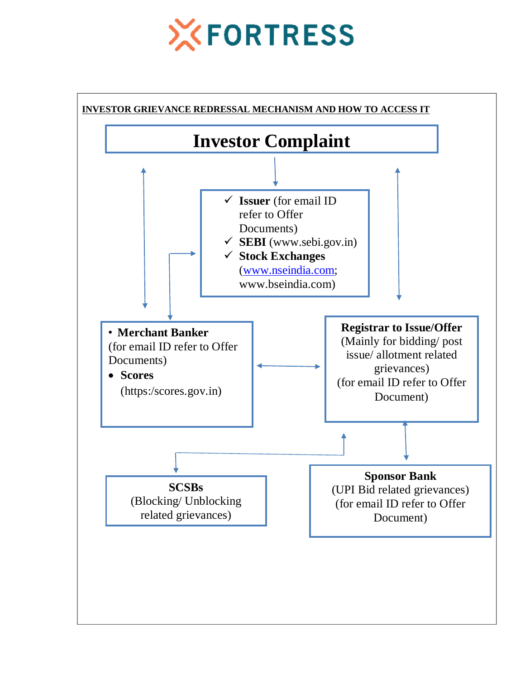# **XFORTRESS**

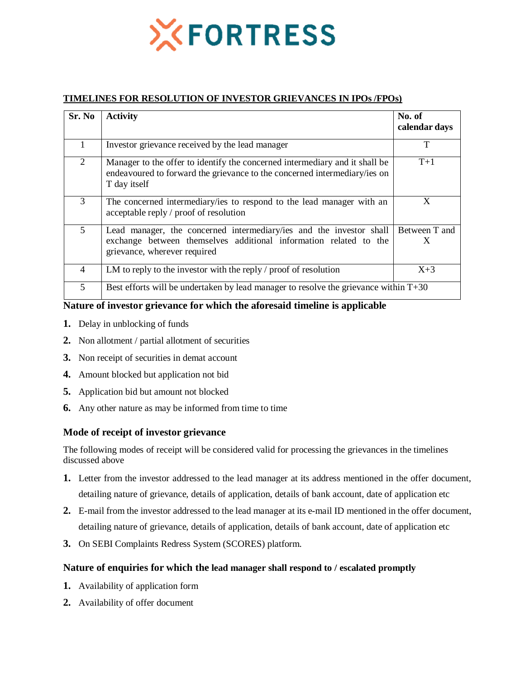

#### **TIMELINES FOR RESOLUTION OF INVESTOR GRIEVANCES IN IPOs /FPOs)**

| Sr. No         | <b>Activity</b>                                                                                                                                                          | No. of<br>calendar days |  |
|----------------|--------------------------------------------------------------------------------------------------------------------------------------------------------------------------|-------------------------|--|
|                | Investor grievance received by the lead manager                                                                                                                          | T                       |  |
| 2              | Manager to the offer to identify the concerned intermediary and it shall be<br>endeavoured to forward the grievance to the concerned intermediary/ies on<br>T day itself | $T+1$                   |  |
| 3              | The concerned intermediary/ies to respond to the lead manager with an<br>acceptable reply / proof of resolution                                                          | X                       |  |
| 5              | Lead manager, the concerned intermediary/ies and the investor shall<br>exchange between themselves additional information related to the<br>grievance, wherever required | Between T and<br>X      |  |
| $\overline{4}$ | LM to reply to the investor with the reply $\prime$ proof of resolution                                                                                                  | $X+3$                   |  |
| 5              | Best efforts will be undertaken by lead manager to resolve the grievance within T+30                                                                                     |                         |  |

#### **Nature of investor grievance for which the aforesaid timeline is applicable**

- **1.** Delay in unblocking of funds
- **2.** Non allotment / partial allotment of securities
- **3.** Non receipt of securities in demat account
- **4.** Amount blocked but application not bid
- **5.** Application bid but amount not blocked
- **6.** Any other nature as may be informed from time to time

## **Mode of receipt of investor grievance**

The following modes of receipt will be considered valid for processing the grievances in the timelines discussed above

- **1.** Letter from the investor addressed to the lead manager at its address mentioned in the offer document, detailing nature of grievance, details of application, details of bank account, date of application etc
- **2.** E-mail from the investor addressed to the lead manager at its e-mail ID mentioned in the offer document, detailing nature of grievance, details of application, details of bank account, date of application etc
- **3.** On SEBI Complaints Redress System (SCORES) platform.

#### **Nature of enquiries for which the lead manager shall respond to / escalated promptly**

- **1.** Availability of application form
- **2.** Availability of offer document